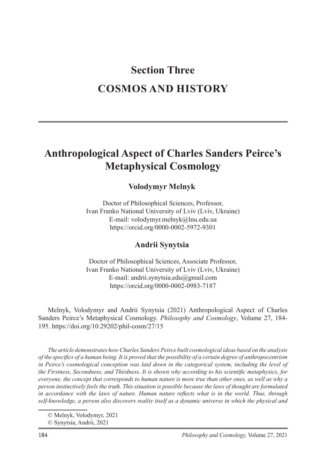# **Section Three COSMOS AND HISTORY**

# **Anthropological Aspect of Charles Sanders Peirce's Metaphysical Cosmology**

### **Volodymyr Melnyk**<sup>1</sup>

Doctor of Philosophical Sciences, Professor, Ivan Franko National University of Lviv (Lviv, Ukraine) E-mail: volodymyr.melnyk@lnu.edu.ua https://orcid.org/0000-0002-5972-9301

# **Andrii Synytsia**<sup>2</sup>

Doctor of Philosophical Sciences, Associate Professor, Ivan Franko National University of Lviv (Lviv, Ukraine) E-mail: andrii.synytsia.edu@gmail.com https://orcid.org/0000-0002-0983-7187

Melnyk, Volodymyr and Andrii Synytsia (2021) Anthropological Aspect of Charles Sanders Peirce's Metaphysical Cosmology. *Philosophy and Cosmology*, Volume 27, 184- 195. https://doi.org/10.29202/phil-cosm/27/15

*The article demonstrates how Charles Sanders Peirce built cosmological ideas based on the analysis of the specifics of a human being. It is proved that the possibility of a certain degree of anthropocentrism in Peirce's cosmological conception was laid down in the categorical system, including the level of the Firstness, Secondness, and Thirdness. It is shown why according to his scientific metaphysics, for everyone, the concept that corresponds to human nature is more true than other ones, as well as why a person instinctively feels the truth. This situation is possible because the laws of thought are formulated in accordance with the laws of nature. Human nature reflects what is in the world. Thus, through self-knowledge, a person also discovers reality itself as a dynamic universe in which the physical and* 

<sup>©</sup> Melnyk, Volodymyr, 2021

<sup>©</sup> Synytsia, Andrii, 2021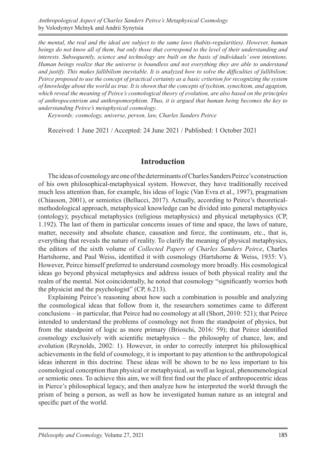*Anthropological Aspect of Charles Sanders Peirce's Metaphysical Cosmology* by Volodymyr Melnyk and Andrii Synytsia

*the mental, the real and the ideal are subject to the same laws (habits-regularities). However, human beings do not know all of them, but only those that correspond to the level of their understanding and interests. Subsequently, science and technology are built on the basis of individuals' own intentions. Human beings realize that the universe is boundless and not everything they are able to understand and justify. This makes fallibilism inevitable. It is analyzed how to solve the difficulties of fallibilism; Peirce proposed to use the concept of practical certainty as a basic criterion for recognizing the system of knowledge about the world as true. It is shown that the concepts of tychism, synechism, and agapism, which reveal the meaning of Peirce's cosmological theory of evolution, are also based on the principles of anthropocentrism and anthropomorphism. Thus, it is argued that human being becomes the key to understanding Peirce's metaphysical cosmology.*

*Keywords: cosmology, universe, person, law, Charles Sanders Peirce*

Received: 1 June 2021 / Accepted: 24 June 2021 / Published: 1 October 2021

#### **Introduction**

The ideas of cosmology are one of the determinants of Charles Sanders Peirce's construction of his own philosophical-metaphysical system. However, they have traditionally received much less attention than, for example, his ideas of logic (Van Evra et al., 1997), pragmatism (Chiasson, 2001), or semiotics (Bellucci, 2017). Actually, according to Peirce's theoreticalmethodological approach, metaphysical knowledge can be divided into general metaphysics (ontology); psychical metaphysics (religious metaphysics) and physical metaphysics (CP, 1.192). The last of them in particular concerns issues of time and space, the laws of nature, matter, necessity and absolute chance, causation and force, the continuum, etc., that is, everything that reveals the nature of reality. To clarify the meaning of physical metaphysics, the editors of the sixth volume of *Collected Papers of Charles Sanders Peirce*, Charles Hartshorne, and Paul Weiss, identified it with cosmology (Hartshorne & Weiss, 1935: V). However, Peirce himself preferred to understand cosmology more broadly. His cosmological ideas go beyond physical metaphysics and address issues of both physical reality and the realm of the mental. Not coincidentally, he noted that cosmology "significantly worries both the physicist and the psychologist" (CP, 6.213).

Explaining Peirce's reasoning about how such a combination is possible and analyzing the cosmological ideas that follow from it, the researchers sometimes came to different conclusions – in particular, that Peirce had no cosmology at all (Short, 2010: 521); that Peirce intended to understand the problems of cosmology not from the standpoint of physics, but from the standpoint of logic as more primary (Brioschi, 2016: 59); that Peirce identified cosmology exclusively with scientific metaphysics – the philosophy of chance, law, and evolution (Reynolds, 2002: 1). However, in order to correctly interpret his philosophical achievements in the field of cosmology, it is important to pay attention to the anthropological ideas inherent in this doctrine. These ideas will be shown to be no less important to his cosmological conception than physical or metaphysical, as well as logical, phenomenological or semiotic ones. To achieve this aim, we will first find out the place of anthropocentric ideas in Pierce's philosophical legacy, and then analyze how he interpreted the world through the prism of being a person, as well as how he investigated human nature as an integral and specific part of the world.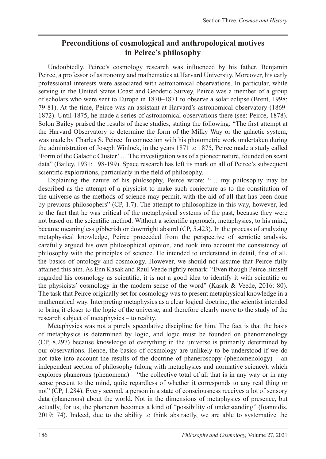# **Preconditions of cosmological and anthropological motives in Peirce's philosophy**

Undoubtedly, Peirce's cosmology research was influenced by his father, Benjamin Peirce, a professor of astronomy and mathematics at Harvard University. Moreover, his early professional interests were associated with astronomical observations. In particular, while serving in the United States Coast and Geodetic Survey, Peirce was a member of a group of scholars who were sent to Europe in 1870–1871 to observe a solar eclipse (Brent, 1998: 79-81). At the time, Peirce was an assistant at Harvard's astronomical observatory (1869- 1872). Until 1875, he made a series of astronomical observations there (see: Peirce, 1878). Solon Bailey praised the results of these studies, stating the following: "The first attempt at the Harvard Observatory to determine the form of the Milky Way or the galactic system, was made by Charles S. Peirce. In connection with his photometric work undertaken during the administration of Joseph Winlock, in the years 1871 to 1875, Peirce made a study called 'Form of the Galactic Cluster'… The investigation was of a pioneer nature, founded on scant data" (Bailey, 1931: 198-199). Space research has left its mark on all of Peirce's subsequent scientific explorations, particularly in the field of philosophy.

Explaining the nature of his philosophy, Peirce wrote: "… my philosophy may be described as the attempt of a physicist to make such conjecture as to the constitution of the universe as the methods of science may permit, with the aid of all that has been done by previous philosophers" (CP, 1.7). The attempt to philosophize in this way, however, led to the fact that he was critical of the metaphysical systems of the past, because they were not based on the scientific method. Without a scientific approach, metaphysics, to his mind, became meaningless gibberish or downright absurd (CP, 5.423). In the process of analyzing metaphysical knowledge, Peirce proceeded from the perspective of semiotic analysis, carefully argued his own philosophical opinion, and took into account the consistency of philosophy with the principles of science. He intended to understand in detail, first of all, the basics of ontology and cosmology. However, we should not assume that Peirce fully attained this aim. As Enn Kasak and Raul Veede rightly remark: "Even though Peirce himself regarded his cosmology as scientific, it is not a good idea to identify it with scientific or the physicists' cosmology in the modern sense of the word" (Kasak & Veede, 2016: 80). The task that Peirce originally set for cosmology was to present metaphysical knowledge in a mathematical way. Interpreting metaphysics as a clear logical doctrine, the scientist intended to bring it closer to the logic of the universe, and therefore clearly move to the study of the research subject of metaphysics – to reality.

Metaphysics was not a purely speculative discipline for him. The fact is that the basis of metaphysics is determined by logic, and logic must be founded on phenomenology (CP, 8.297) because knowledge of everything in the universe is primarily determined by our observations. Hence, the basics of cosmology are unlikely to be understood if we do not take into account the results of the doctrine of phaneroscopy (phenomenology) – an independent section of philosophy (along with metaphysics and normative science), which explores phanerons (phenomena) – "the collective total of all that is in any way or in any sense present to the mind, quite regardless of whether it corresponds to any real thing or not" (CP, 1.284). Every second, a person in a state of consciousness receives a lot of sensory data (phanerons) about the world. Not in the dimensions of metaphysics of presence, but actually, for us, the phaneron becomes a kind of "possibility of understanding" (Ioannidis, 2019: 74). Indeed, due to the ability to think abstractly, we are able to systematize the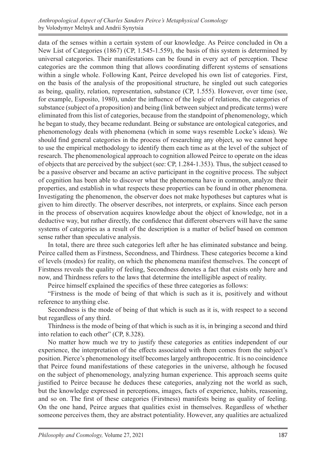data of the senses within a certain system of our knowledge. As Peirce concluded in On a New List of Categories (1867) (CP, 1.545-1.559), the basis of this system is determined by universal categories. Their manifestations can be found in every act of perception. These categories are the common thing that allows coordinating different systems of sensations within a single whole. Following Kant, Peirce developed his own list of categories. First, on the basis of the analysis of the propositional structure, he singled out such categories as being, quality, relation, representation, substance (CP, 1.555). However, over time (see, for example, Esposito, 1980), under the influence of the logic of relations, the categories of substance (subject of a proposition) and being (link between subject and predicate terms) were eliminated from this list of categories, because from the standpoint of phenomenology, which he began to study, they became redundant. Being or substance are ontological categories, and phenomenology deals with phenomena (which in some ways resemble Locke's ideas). We should find general categories in the process of researching any object, so we cannot hope to use the empirical methodology to identify them each time as at the level of the subject of research. The phenomenological approach to cognition allowed Peirce to operate on the ideas of objects that are perceived by the subject (see: CP, 1.284-1.353). Thus, the subject ceased to be a passive observer and became an active participant in the cognitive process. The subject of cognition has been able to discover what the phenomena have in common, analyze their properties, and establish in what respects these properties can be found in other phenomena. Investigating the phenomenon, the observer does not make hypotheses but captures what is given to him directly. The observer describes, not interprets, or explains. Since each person in the process of observation acquires knowledge about the object of knowledge, not in a deductive way, but rather directly, the confidence that different observers will have the same systems of categories as a result of the description is a matter of belief based on common sense rather than speculative analysis.

In total, there are three such categories left after he has eliminated substance and being. Peirce called them as Firstness, Secondness, and Thirdness. These categories become a kind of levels (modes) for reality, on which the phenomena manifest themselves. The concept of Firstness reveals the quality of feeling, Secondness denotes a fact that exists only here and now, and Thirdness refers to the laws that determine the intelligible aspect of reality.

Peirce himself explained the specifics of these three categories as follows:

"Firstness is the mode of being of that which is such as it is, positively and without reference to anything else.

Secondness is the mode of being of that which is such as it is, with respect to a second but regardless of any third.

Thirdness is the mode of being of that which is such as it is, in bringing a second and third into relation to each other" (CP, 8.328).

No matter how much we try to justify these categories as entities independent of our experience, the interpretation of the effects associated with them comes from the subject's position. Pierce's phenomenology itself becomes largely anthropocentric. It is no coincidence that Peirce found manifestations of these categories in the universe, although he focused on the subject of phenomenology, analyzing human experience. This approach seems quite justified to Peirce because he deduces these categories, analyzing not the world as such, but the knowledge expressed in perceptions, images, facts of experience, habits, reasoning, and so on. The first of these categories (Firstness) manifests being as quality of feeling. On the one hand, Peirce argues that qualities exist in themselves. Regardless of whether someone perceives them, they are abstract potentiality. However, any qualities are actualized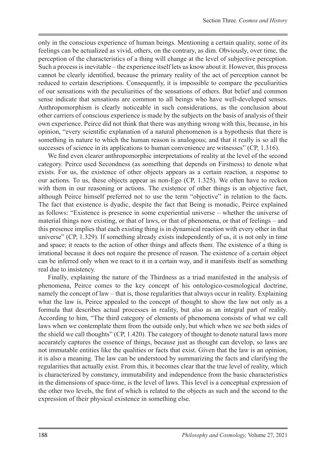only in the conscious experience of human beings. Mentioning a certain quality, some of its feelings can be actualized as vivid, others, on the contrary, as dim. Obviously, over time, the perception of the characteristics of a thing will change at the level of subjective perception. Such a process is inevitable – the experience itself lets us know about it. However, this process cannot be clearly identified, because the primary reality of the act of perception cannot be reduced to certain descriptions. Consequently, it is impossible to compare the peculiarities of our sensations with the peculiarities of the sensations of others. But belief and common sense indicate that sensations are common to all beings who have well-developed senses. Anthropomorphism is clearly noticeable in such considerations, as the conclusion about other carriers of conscious experience is made by the subjects on the basis of analysis of their own experience. Peirce did not think that there was anything wrong with this, because, in his opinion, "every scientific explanation of a natural phenomenon is a hypothesis that there is something in nature to which the human reason is analogous; and that it really is so all the successes of science in its applications to human convenience are witnesses" (CP, 1.316).

We find even clearer anthropomorphic interpretations of reality at the level of the second category. Peirce used Secondness (as something that depends on Firstness) to denote what exists. For us, the existence of other objects appears as a certain reaction, a response to our actions. To us, these objects appear as non-Ego (CP, 1.325). We often have to reckon with them in our reasoning or actions. The existence of other things is an objective fact, although Peirce himself preferred not to use the term "objective" in relation to the facts. The fact that existence is dyadic, despite the fact that Being is monadic, Peirce explained as follows: "Existence is presence in some experiential universe – whether the universe of material things now existing, or that of laws, or that of phenomena, or that of feelings – and this presence implies that each existing thing is in dynamical reaction with every other in that universe" (CP, 1.329). If something already exists independently of us, it is not only in time and space; it reacts to the action of other things and affects them. The existence of a thing is irrational because it does not require the presence of reason. The existence of a certain object can be inferred only when we react to it in a certain way, and it manifests itself as something real due to insistency.

Finally, explaining the nature of the Thirdness as a triad manifested in the analysis of phenomena, Peirce comes to the key concept of his ontologico-cosmological doctrine, namely the concept of law – that is, those regularities that always occur in reality. Explaining what the law is, Peirce appealed to the concept of thought to show the law not only as a formula that describes actual processes in reality, but also as an integral part of reality. According to him, "The third category of elements of phenomena consists of what we call laws when we contemplate them from the outside only, but which when we see both sides of the shield we call thoughts" (CP, 1.420). The category of thought to denote natural laws more accurately captures the essence of things, because just as thought can develop, so laws are not immutable entities like the qualities or facts that exist. Given that the law is an opinion, it is also a meaning. The law can be understood by summarizing the facts and clarifying the regularities that actually exist. From this, it becomes clear that the true level of reality, which is characterized by constancy, immutability and independence from the basic characteristics in the dimensions of space-time, is the level of laws. This level is a conceptual expression of the other two levels, the first of which is related to the objects as such and the second to the expression of their physical existence in something else.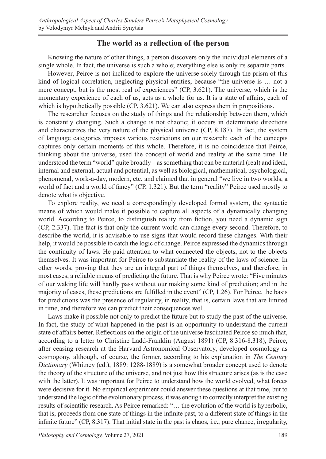#### **The world as a reflection of the person**

Knowing the nature of other things, a person discovers only the individual elements of a single whole. In fact, the universe is such a whole; everything else is only its separate parts.

However, Peirce is not inclined to explore the universe solely through the prism of this kind of logical correlation, neglecting physical entities, because "the universe is … not a mere concept, but is the most real of experiences" (CP, 3.621). The universe, which is the momentary experience of each of us, acts as a whole for us. It is a state of affairs, each of which is hypothetically possible (CP, 3.621). We can also express them in propositions.

The researcher focuses on the study of things and the relationship between them, which is constantly changing. Such a change is not chaotic; it occurs in determinate directions and characterizes the very nature of the physical universe (CP, 8.187). In fact, the system of language categories imposes various restrictions on our research; each of the concepts captures only certain moments of this whole. Therefore, it is no coincidence that Peirce, thinking about the universe, used the concept of world and reality at the same time. He understood the term "world" quite broadly – as something that can be material (real) and ideal, internal and external, actual and potential, as well as biological, mathematical, psychological, phenomenal, work-a-day, modern, etc. and claimed that in general "we live in two worlds, a world of fact and a world of fancy" (CP, 1.321). But the term "reality" Peirce used mostly to denote what is objective.

To explore reality, we need a correspondingly developed formal system, the syntactic means of which would make it possible to capture all aspects of a dynamically changing world. According to Peirce, to distinguish reality from fiction, you need a dynamic sign (CP, 2.337). The fact is that only the current world can change every second. Therefore, to describe the world, it is advisable to use signs that would record these changes. With their help, it would be possible to catch the logic of change. Peirce expressed the dynamics through the continuity of laws. He paid attention to what connected the objects, not to the objects themselves. It was important for Peirce to substantiate the reality of the laws of science. In other words, proving that they are an integral part of things themselves, and therefore, in most cases, a reliable means of predicting the future. That is why Peirce wrote: "Five minutes of our waking life will hardly pass without our making some kind of prediction; and in the majority of cases, these predictions are fulfilled in the event" (CP, 1.26). For Peirce, the basis for predictions was the presence of regularity, in reality, that is, certain laws that are limited in time, and therefore we can predict their consequences well.

Laws make it possible not only to predict the future but to study the past of the universe. In fact, the study of what happened in the past is an opportunity to understand the current state of affairs better. Reflections on the origin of the universe fascinated Peirce so much that, according to a letter to Christine Ladd-Franklin (August 1891) (CP, 8.316-8.318), Peirce, after ceasing research at the Harvard Astronomical Observatory, developed cosmology as cosmogony, although, of course, the former, according to his explanation in *The Century Dictionary* (Whitney (ed.), 1889: 1288-1889) is a somewhat broader concept used to denote the theory of the structure of the universe, and not just how this structure arises (as is the case with the latter). It was important for Peirce to understand how the world evolved, what forces were decisive for it. No empirical experiment could answer these questions at that time, but to understand the logic of the evolutionary process, it was enough to correctly interpret the existing results of scientific research. As Peirce remarked: "… the evolution of the world is hyperbolic, that is, proceeds from one state of things in the infinite past, to a different state of things in the infinite future" (CP, 8.317). That initial state in the past is chaos, i.e., pure chance, irregularity,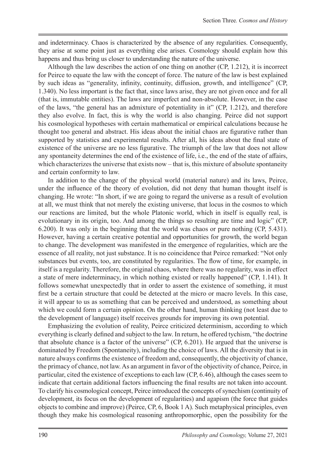and indeterminacy. Chaos is characterized by the absence of any regularities. Consequently, they arise at some point just as everything else arises. Cosmology should explain how this happens and thus bring us closer to understanding the nature of the universe.

Although the law describes the action of one thing on another (CP, 1.212), it is incorrect for Peirce to equate the law with the concept of force. The nature of the law is best explained by such ideas as "generality, infinity, continuity, diffusion, growth, and intelligence" (CP, 1.340). No less important is the fact that, since laws arise, they are not given once and for all (that is, immutable entities). The laws are imperfect and non-absolute. However, in the case of the laws, "the general has an admixture of potentiality in it" (CP, 1.212), and therefore they also evolve. In fact, this is why the world is also changing. Peirce did not support his cosmological hypotheses with certain mathematical or empirical calculations because he thought too general and abstract. His ideas about the initial chaos are figurative rather than supported by statistics and experimental results. After all, his ideas about the final state of existence of the universe are no less figurative. The triumph of the law that does not allow any spontaneity determines the end of the existence of life, i.e., the end of the state of affairs, which characterizes the universe that exists now – that is, this mixture of absolute spontaneity and certain conformity to law.

In addition to the change of the physical world (material nature) and its laws, Peirce, under the influence of the theory of evolution, did not deny that human thought itself is changing. He wrote: "In short, if we are going to regard the universe as a result of evolution at all, we must think that not merely the existing universe, that locus in the cosmos to which our reactions are limited, but the whole Platonic world, which in itself is equally real, is evolutionary in its origin, too. And among the things so resulting are time and logic" (CP, 6.200). It was only in the beginning that the world was chaos or pure nothing (CP, 5.431). However, having a certain creative potential and opportunities for growth, the world began to change. The development was manifested in the emergence of regularities, which are the essence of all reality, not just substance. It is no coincidence that Peirce remarked: "Not only substances but events, too, are constituted by regularities. The flow of time, for example, in itself is a regularity. Therefore, the original chaos, where there was no regularity, was in effect a state of mere indeterminacy, in which nothing existed or really happened" (CP, 1.141). It follows somewhat unexpectedly that in order to assert the existence of something, it must first be a certain structure that could be detected at the micro or macro levels. In this case, it will appear to us as something that can be perceived and understood, as something about which we could form a certain opinion. On the other hand, human thinking (not least due to the development of language) itself receives grounds for improving its own potential.

Emphasizing the evolution of reality, Peirce criticized determinism, according to which everything is clearly defined and subject to the law. In return, he offered tychism, "the doctrine that absolute chance is a factor of the universe" (CP, 6.201). He argued that the universe is dominated by Freedom (Spontaneity), including the choice of laws. All the diversity that is in nature always confirms the existence of freedom and, consequently, the objectivity of chance, the primacy of chance, not law. As an argument in favor of the objectivity of chance, Peirce, in particular, cited the existence of exceptions to each law (CP, 6.46), although the cases seem to indicate that certain additional factors influencing the final results are not taken into account. To clarify his cosmological concept, Peirce introduced the concepts of synechism (continuity of development, its focus on the development of regularities) and agapism (the force that guides objects to combine and improve) (Peirce, CP, 6, Book 1 A). Such metaphysical principles, even though they make his cosmological reasoning anthropomorphic, open the possibility for the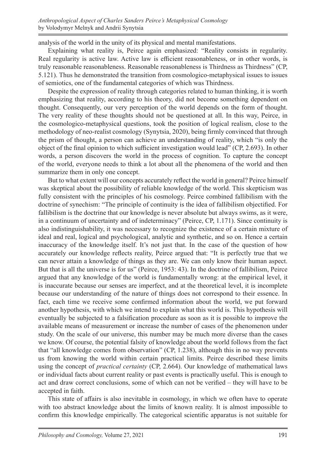analysis of the world in the unity of its physical and mental manifestations.

Explaining what reality is, Peirce again emphasized: "Reality consists in regularity. Real regularity is active law. Active law is efficient reasonableness, or in other words, is truly reasonable reasonableness. Reasonable reasonableness is Thirdness as Thirdness" (CP, 5.121). Thus he demonstrated the transition from cosmologico-metaphysical issues to issues of semiotics, one of the fundamental categories of which was Thirdness.

Despite the expression of reality through categories related to human thinking, it is worth emphasizing that reality, according to his theory, did not become something dependent on thought. Consequently, our very perception of the world depends on the form of thought. The very reality of these thoughts should not be questioned at all. In this way, Peirce, in the cosmologico-metaphysical questions, took the position of logical realism, close to the methodology of neo-realist cosmology (Synytsia, 2020), being firmly convinced that through the prism of thought, a person can achieve an understanding of reality, which "is only the object of the final opinion to which sufficient investigation would lead" (CP, 2.693). In other words, a person discovers the world in the process of cognition. To capture the concept of the world, everyone needs to think a lot about all the phenomena of the world and then summarize them in only one concept.

But to what extent will our concepts accurately reflect the world in general? Peirce himself was skeptical about the possibility of reliable knowledge of the world. This skepticism was fully consistent with the principles of his cosmology. Peirce combined fallibilism with the doctrine of synechism: "The principle of continuity is the idea of fallibilism objectified. For fallibilism is the doctrine that our knowledge is never absolute but always swims, as it were, in a continuum of uncertainty and of indeterminacy" (Peirce, CP, 1.171). Since continuity is also indistinguishability, it was necessary to recognize the existence of a certain mixture of ideal and real, logical and psychological, analytic and synthetic, and so on. Hence a certain inaccuracy of the knowledge itself. It's not just that. In the case of the question of how accurately our knowledge reflects reality, Peirce argued that: "It is perfectly true that we can never attain a knowledge of things as they are. We can only know their human aspect. But that is all the universe is for us" (Peirce, 1953: 43). In the doctrine of fallibilism, Peirce argued that any knowledge of the world is fundamentally wrong: at the empirical level, it is inaccurate because our senses are imperfect, and at the theoretical level, it is incomplete because our understanding of the nature of things does not correspond to their essence. In fact, each time we receive some confirmed information about the world, we put forward another hypothesis, with which we intend to explain what this world is. This hypothesis will eventually be subjected to a falsification procedure as soon as it is possible to improve the available means of measurement or increase the number of cases of the phenomenon under study. On the scale of our universe, this number may be much more diverse than the cases we know. Of course, the potential falsity of knowledge about the world follows from the fact that "all knowledge comes from observation" (CP, 1.238), although this in no way prevents us from knowing the world within certain practical limits. Peirce described these limits using the concept of *practical certainty* (CP, 2.664). Our knowledge of mathematical laws or individual facts about current reality or past events is practically useful. This is enough to act and draw correct conclusions, some of which can not be verified – they will have to be accepted in faith.

This state of affairs is also inevitable in cosmology, in which we often have to operate with too abstract knowledge about the limits of known reality. It is almost impossible to confirm this knowledge empirically. The categorical scientific apparatus is not suitable for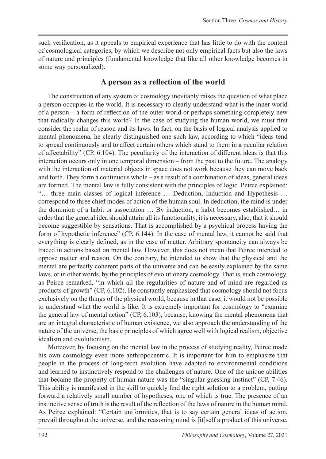such verification, as it appeals to empirical experience that has little to do with the content of cosmological categories, by which we describe not only empirical facts but also the laws of nature and principles (fundamental knowledge that like all other knowledge becomes in some way personalized).

#### **A person as a reflection of the world**

The construction of any system of cosmology inevitably raises the question of what place a person occupies in the world. It is necessary to clearly understand what is the inner world of a person – a form of reflection of the outer world or perhaps something completely new that radically changes this world? In the case of studying the human world, we must first consider the realm of reason and its laws. In fact, on the basis of logical analysis applied to mental phenomena, he clearly distinguished one such law, according to which "ideas tend to spread continuously and to affect certain others which stand to them in a peculiar relation of affectability" (CP, 6.104). The peculiarity of the interaction of different ideas is that this interaction occurs only in one temporal dimension – from the past to the future. The analogy with the interaction of material objects in space does not work because they can move back and forth. They form a continuous whole – as a result of a combination of ideas, general ideas are formed. The mental law is fully consistent with the principles of logic. Peirce explained: "… three main classes of logical inference … Deduction, Induction and Hypothesis … correspond to three chief modes of action of the human soul. In deduction, the mind is under the dominion of a habit or association … By induction, a habit becomes established… in order that the general idea should attain all its functionality, it is necessary, also, that it should become suggestible by sensations. That is accomplished by a psychical process having the form of hypothetic inference" (CP, 6.144). In the case of mental law, it cannot be said that everything is clearly defined, as in the case of matter. Arbitrary spontaneity can always be traced in actions based on mental law. However, this does not mean that Peirce intended to oppose matter and reason. On the contrary, he intended to show that the physical and the mental are perfectly coherent parts of the universe and can be easily explained by the same laws, or in other words, by the principles of evolutionary cosmology. That is, such cosmology, as Peirce remarked, "in which all the regularities of nature and of mind are regarded as products of growth" (CP, 6.102). He constantly emphasized that cosmology should not focus exclusively on the things of the physical world, because in that case, it would not be possible to understand what the world is like. It is extremely important for cosmology to "examine the general law of mental action" (CP, 6.103), because, knowing the mental phenomena that are an integral characteristic of human existence, we also approach the understanding of the nature of the universe, the basic principles of which agree well with logical realism, objective idealism and evolutionism.

Moreover, by focusing on the mental law in the process of studying reality, Peirce made his own cosmology even more anthropocentric. It is important for him to emphasize that people in the process of long-term evolution have adapted to environmental conditions and learned to instinctively respond to the challenges of nature. One of the unique abilities that became the property of human nature was the "singular guessing instinct" (CP, 7.46). This ability is manifested in the skill to quickly find the right solution to a problem, putting forward a relatively small number of hypotheses, one of which is true. The presence of an instinctive sense of truth is the result of the reflection of the laws of nature in the human mind. As Peirce explained: "Certain uniformities, that is to say certain general ideas of action, prevail throughout the universe, and the reasoning mind is [it]self a product of this universe.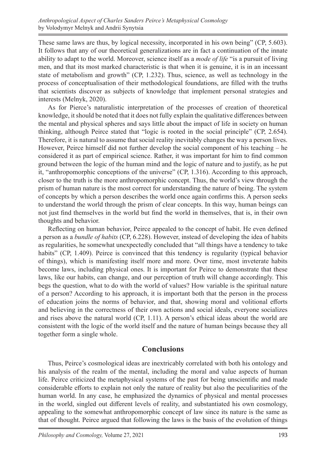These same laws are thus, by logical necessity, incorporated in his own being" (CP, 5.603). It follows that any of our theoretical generalizations are in fact a continuation of the innate ability to adapt to the world. Moreover, science itself as a *mode of life* "is a pursuit of living men, and that its most marked characteristic is that when it is genuine, it is in an incessant state of metabolism and growth" (CP, 1.232). Thus, science, as well as technology in the process of conceptualisation of their methodological foundations, are filled with the truths that scientists discover as subjects of knowledge that implement personal strategies and interests (Melnyk, 2020).

As for Pierce's naturalistic interpretation of the processes of creation of theoretical knowledge, it should be noted that it does not fully explain the qualitative differences between the mental and physical spheres and says little about the impact of life in society on human thinking, although Peirce stated that "logic is rooted in the social principle" (CP, 2.654). Therefore, it is natural to assume that social reality inevitably changes the way a person lives. However, Peirce himself did not further develop the social component of his teaching – he considered it as part of empirical science. Rather, it was important for him to find common ground between the logic of the human mind and the logic of nature and to justify, as he put it, "anthropomorphic conceptions of the universe" (CP, 1.316). According to this approach, closer to the truth is the more anthropomorphic concept. Thus, the world's view through the prism of human nature is the most correct for understanding the nature of being. The system of concepts by which a person describes the world once again confirms this. A person seeks to understand the world through the prism of clear concepts. In this way, human beings can not just find themselves in the world but find the world in themselves, that is, in their own thoughts and behavior.

Reflecting on human behavior, Peirce appealed to the concept of habit. He even defined a person as a *bundle of habits* (CP, 6.228). However, instead of developing the idea of habits as regularities, he somewhat unexpectedly concluded that "all things have a tendency to take habits" (CP, 1.409). Peirce is convinced that this tendency is regularity (typical behavior of things), which is manifesting itself more and more. Over time, most inveterate habits become laws, including physical ones. It is important for Peirce to demonstrate that these laws, like our habits, can change, and our perception of truth will change accordingly. This begs the question, what to do with the world of values? How variable is the spiritual nature of a person? According to his approach, it is important both that the person in the process of education joins the norms of behavior, and that, showing moral and volitional efforts and believing in the correctness of their own actions and social ideals, everyone socializes and rises above the natural world (CP, 1.11). A person's ethical ideas about the world are consistent with the logic of the world itself and the nature of human beings because they all together form a single whole.

#### **Conclusions**

Thus, Peirce's cosmological ideas are inextricably correlated with both his ontology and his analysis of the realm of the mental, including the moral and value aspects of human life. Peirce criticized the metaphysical systems of the past for being unscientific and made considerable efforts to explain not only the nature of reality but also the peculiarities of the human world. In any case, he emphasized the dynamics of physical and mental processes in the world, singled out different levels of reality, and substantiated his own cosmology, appealing to the somewhat anthropomorphic concept of law since its nature is the same as that of thought. Peirce argued that following the laws is the basis of the evolution of things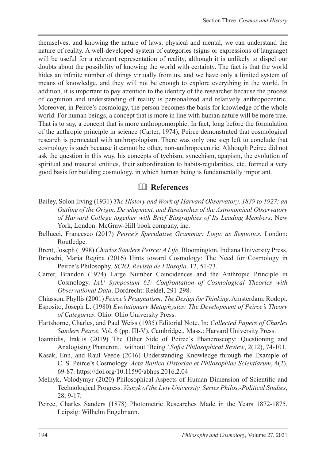themselves, and knowing the nature of laws, physical and mental, we can understand the nature of reality. A well-developed system of categories (signs or expressions of language) will be useful for a relevant representation of reality, although it is unlikely to dispel our doubts about the possibility of knowing the world with certainty. The fact is that the world hides an infinite number of things virtually from us, and we have only a limited system of means of knowledge, and they will not be enough to explore everything in the world. In addition, it is important to pay attention to the identity of the researcher because the process of cognition and understanding of reality is personalized and relatively anthropocentric. Moreover, in Peirce's cosmology, the person becomes the basis for knowledge of the whole world. For human beings, a concept that is more in line with human nature will be more true. That is to say, a concept that is more anthropomorphic. In fact, long before the formulation of the anthropic principle in science (Carter, 1974), Peirce demonstrated that cosmological research is permeated with anthropologism. There was only one step left to conclude that cosmology is such because it cannot be other, non-anthropocentric. Although Peirce did not ask the question in this way, his concepts of tychism, synechism, agapism, the evolution of spiritual and material entities, their subordination to habits-regularities, etc. formed a very good basis for building cosmology, in which human being is fundamentally important.

#### & **References**

- Bailey, Solon Irving (1931) *The History and Work of Harvard Observatory, 1839 to 1927; an Outline of the Origin, Development, and Researches of the Astronomical Observatory of Harvard College together with Brief Biographies of Its Leading Members*. New York, London: McGraw-Hill book company, inc.
- Bellucci, Francesco (2017) *Peirce's Speculative Grammar: Logic as Semiotics*, London: Routledge.
- Brent, Joseph (1998) *Charles Sanders Peirce: A Life*. Bloomington, Indiana University Press.
- Brioschi, Maria Regina (2016) Hints toward Cosmology: The Need for Cosmology in Peirce's Philosophy. *SCIO. Revista de Filosofía,* 12, 51-73.
- Carter, Brandon (1974) Large Number Coincidences and the Anthropic Principle in Cosmology. *IAU Symposium 63: Confrontation of Cosmological Theories with Observational Data*. Dordrecht: Reidel, 291-298.
- Chiasson, Phyllis (2001) *Peirce's Pragmatism: The Design for Thinking*. Amsterdam: Rodopi.
- Esposito, Joseph L. (1980) *Evolutionary Metaphysics: The Development of Peirce's Theory of Categories*. Ohio: Ohio University Press.
- Hartshorne, Charles, and Paul Weiss (1935) Editorial Note. In: *Collected Papers of Charles Sanders Peirce.* Vol. 6 (pp. III-V). Cambridge., Mass.: Harvard University Press.
- Ioannidis, Iraklis (2019) The Other Side of Peirce's Phaneroscopy: Questioning and Analogising Phaneron... without 'Being.' *Sofia Philosophical Review*, 2(12), 74-101.
- Kasak, Enn, and Raul Veede (2016) Understanding Knowledge through the Example of C. S. Peirce's Cosmology. *Acta Baltica Historiae et Philosophiae Scientiarum*, 4(2), 69-87. https://doi.org/10.11590/abhps.2016.2.04
- Melnyk, Volodymyr (2020) Philosophical Aspects of Human Dimension of Scientific and Technological Progress. *Visnyk of the Lviv University. Series Philos.-Political Studies*, 28, 9-17.
- Peirce, Charles Sanders (1878) Photometric Researches Made in the Years 1872-1875. Leipzig: Wilhelm Engelmann.